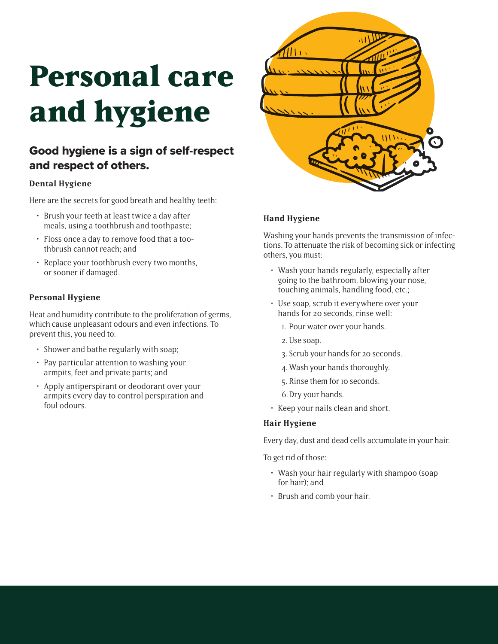# **Personal care and hygiene**

# Good hygiene is a sign of self-respect and respect of others.

# **Dental Hygiene**

Here are the secrets for good breath and healthy teeth:

- Brush your teeth at least twice a day after meals, using a toothbrush and toothpaste;
- Floss once a day to remove food that a toothbrush cannot reach; and
- Replace your toothbrush every two months, or sooner if damaged.

# **Personal Hygiene**

Heat and humidity contribute to the proliferation of germs, which cause unpleasant odours and even infections. To prevent this, you need to:

- Shower and bathe regularly with soap;
- Pay particular attention to washing your armpits, feet and private parts; and
- Apply antiperspirant or deodorant over your armpits every day to control perspiration and foul odours.



### **Hand Hygiene**

Washing your hands prevents the transmission of infections. To attenuate the risk of becoming sick or infecting others, you must:

- Wash your hands regularly, especially after going to the bathroom, blowing your nose, touching animals, handling food, etc.;
- Use soap, scrub it everywhere over your hands for 20 seconds, rinse well:
	- 1. Pour water over your hands.
	- 2. Use soap.
	- 3. Scrub your hands for 20 seconds.
	- 4. Wash your hands thoroughly.
	- 5. Rinse them for 10 seconds.
	- 6. Dry your hands.
- Keep your nails clean and short.

### **Hair Hygiene**

Every day, dust and dead cells accumulate in your hair.

To get rid of those:

- Wash your hair regularly with shampoo (soap for hair); and
- Brush and comb your hair.